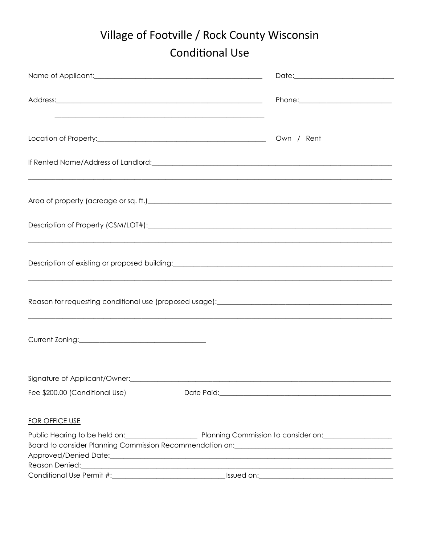## Village of Footville / Rock County Wisconsin **Conditional Use**

| Name of Applicant: <u>contained and a series of Applicants</u> |                                                                                                                                                                                                                                      |  |
|----------------------------------------------------------------|--------------------------------------------------------------------------------------------------------------------------------------------------------------------------------------------------------------------------------------|--|
|                                                                |                                                                                                                                                                                                                                      |  |
|                                                                | <u> 1989 - Johann Barn, mars an t-Amerikaansk komponister (* 1989)</u>                                                                                                                                                               |  |
|                                                                |                                                                                                                                                                                                                                      |  |
|                                                                |                                                                                                                                                                                                                                      |  |
|                                                                |                                                                                                                                                                                                                                      |  |
|                                                                | ,我们也不能在这里的人,我们也不能在这里的人,我们也不能在这里的人,我们也不能在这里的人,我们也不能在这里的人,我们也不能在这里的人,我们也不能在这里的人,我们也                                                                                                                                                    |  |
|                                                                |                                                                                                                                                                                                                                      |  |
|                                                                |                                                                                                                                                                                                                                      |  |
|                                                                |                                                                                                                                                                                                                                      |  |
|                                                                |                                                                                                                                                                                                                                      |  |
|                                                                |                                                                                                                                                                                                                                      |  |
|                                                                |                                                                                                                                                                                                                                      |  |
|                                                                | Reason for requesting conditional use (proposed usage):__________________________                                                                                                                                                    |  |
|                                                                | <u> 1989 - Jan Lander, Amerikaansk politiker (* 1989)</u>                                                                                                                                                                            |  |
|                                                                |                                                                                                                                                                                                                                      |  |
|                                                                |                                                                                                                                                                                                                                      |  |
| Signature of Applicant/Owner:                                  |                                                                                                                                                                                                                                      |  |
| Fee \$200.00 (Conditional Use)                                 |                                                                                                                                                                                                                                      |  |
|                                                                |                                                                                                                                                                                                                                      |  |
| <b>FOR OFFICE USE</b>                                          |                                                                                                                                                                                                                                      |  |
|                                                                | Public Hearing to be held on: Planning Commission to consider on: National Public Hearing to be held on:                                                                                                                             |  |
|                                                                | Board to consider Planning Commission Recommendation on: [1983] [1983] [1983] [1983] [1983] [1983] [1983] [198                                                                                                                       |  |
|                                                                |                                                                                                                                                                                                                                      |  |
|                                                                | <u>Superintent and the set of the set of the set of the set of the set of the set of the set of the set of the set of the set of the set of the set of the set of the set of the set of the set of the set of the set of the set</u> |  |